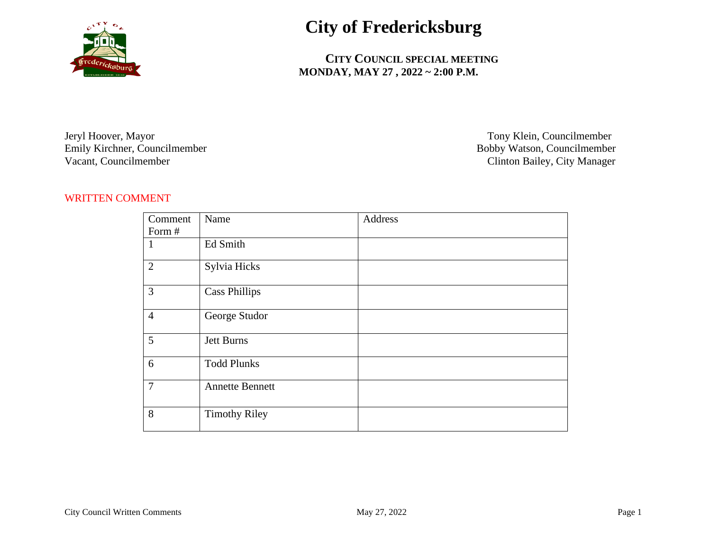

## **City of Fredericksburg**

 **CITY COUNCIL SPECIAL MEETING MONDAY, MAY 27 , 2022 ~ 2:00 P.M.**

Jeryl Hoover, Mayor Tony Klein, Councilmember Emily Kirchner, Councilmember<br>Vacant, Councilmember

Clinton Bailey, City Manager

## WRITTEN COMMENT

| Comment        | Name                   | Address |
|----------------|------------------------|---------|
| Form #         |                        |         |
| 1              | Ed Smith               |         |
| $\overline{2}$ | Sylvia Hicks           |         |
| $\mathfrak{Z}$ | <b>Cass Phillips</b>   |         |
| $\overline{4}$ | George Studor          |         |
| 5              | Jett Burns             |         |
| 6              | <b>Todd Plunks</b>     |         |
| $\tau$         | <b>Annette Bennett</b> |         |
| 8              | <b>Timothy Riley</b>   |         |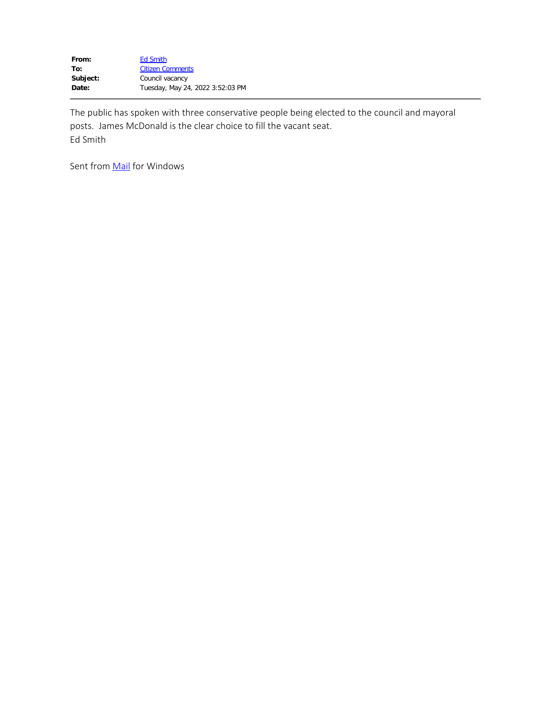| <b>Ed Smith</b>                  |
|----------------------------------|
| <b>Citizen Comments</b>          |
| Council vacancy                  |
| Tuesday, May 24, 2022 3:52:03 PM |
|                                  |

The public has spoken with three conservative people being elected to the council and mayoral posts. James McDonald is the clear choice to fill the vacant seat. Ed Smith

Sent from **Mail** for Windows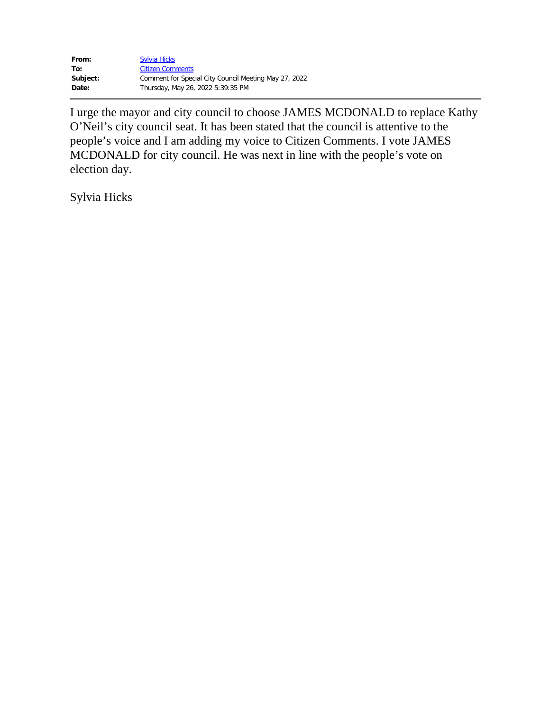| From:    | <b>Sylvia Hicks</b>                                   |
|----------|-------------------------------------------------------|
| To:      | <b>Citizen Comments</b>                               |
| Subject: | Comment for Special City Council Meeting May 27, 2022 |
| Date:    | Thursday, May 26, 2022 5:39:35 PM                     |

I urge the mayor and city council to choose JAMES MCDONALD to replace Kathy O'Neil's city council seat. It has been stated that the council is attentive to the people's voice and I am adding my voice to Citizen Comments. I vote JAMES MCDONALD for city council. He was next in line with the people's vote on election day.

Sylvia Hicks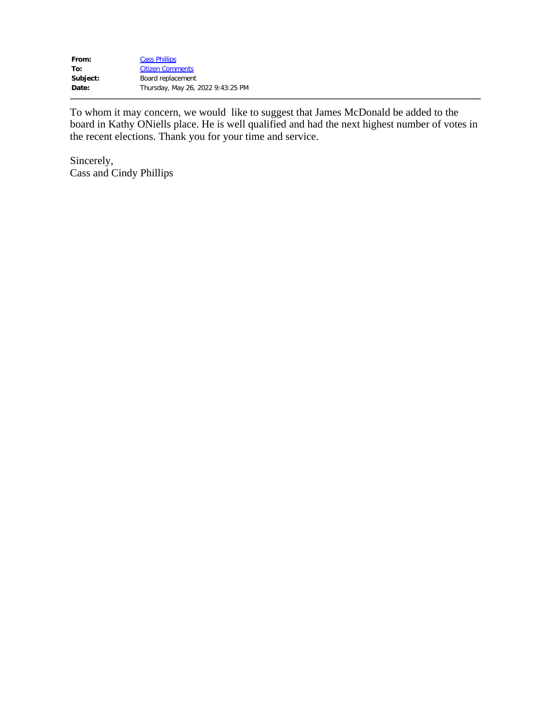| From:    | <b>Cass Phillips</b>              |
|----------|-----------------------------------|
| To:      | <b>Citizen Comments</b>           |
| Subject: | Board replacement                 |
| Date:    | Thursday, May 26, 2022 9:43:25 PM |

To whom it may concern, we would like to suggest that James McDonald be added to the board in Kathy ONiells place. He is well qualified and had the next highest number of votes in the recent elections. Thank you for your time and service.

Sincerely, Cass and Cindy Phillips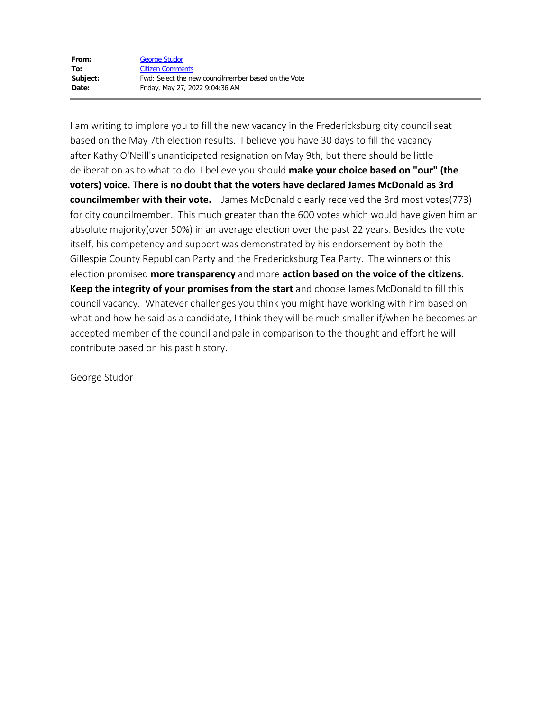| From:    | <b>George Studor</b>                                |
|----------|-----------------------------------------------------|
| To:      | <b>Citizen Comments</b>                             |
| Subject: | Fwd: Select the new councilmember based on the Vote |
| Date:    | Friday, May 27, 2022 9:04:36 AM                     |

I am writing to implore you to fill the new vacancy in the Fredericksburg city council seat based on the May 7th election results. I believe you have 30 days to fill the vacancy after Kathy O'Neill's unanticipated resignation on May 9th, but there should be little deliberation as to what to do. I believe you should **make your choice based on "our" (the voters) voice. There is no doubt that the voters have declared James McDonald as 3rd councilmember with their vote.** James McDonald clearly received the 3rd most votes(773) for city councilmember. This much greater than the 600 votes which would have given him an absolute majority(over 50%) in an average election over the past 22 years. Besides the vote itself, his competency and support was demonstrated by his endorsement by both the Gillespie County Republican Party and the Fredericksburg Tea Party. The winners of this election promised **more transparency** and more **action based on the voice of the citizens**. **Keep the integrity of your promises from the start** and choose James McDonald to fill this council vacancy. Whatever challenges you think you might have working with him based on what and how he said as a candidate, I think they will be much smaller if/when he becomes an accepted member of the council and pale in comparison to the thought and effort he will contribute based on his past history.

George Studor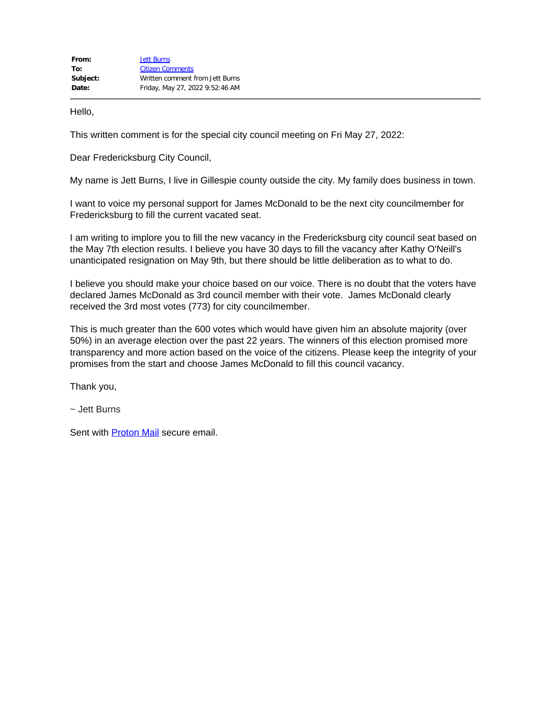Hello,

This written comment is for the special city council meeting on Fri May 27, 2022:

Dear Fredericksburg City Council,

My name is Jett Burns, I live in Gillespie county outside the city. My family does business in town.

I want to voice my personal support for James McDonald to be the next city councilmember for Fredericksburg to fill the current vacated seat.

I am writing to implore you to fill the new vacancy in the Fredericksburg city council seat based on the May 7th election results. I believe you have 30 days to fill the vacancy after Kathy O'Neill's unanticipated resignation on May 9th, but there should be little deliberation as to what to do.

I believe you should make your choice based on our voice. There is no doubt that the voters have declared James McDonald as 3rd council member with their vote. James McDonald clearly received the 3rd most votes (773) for city councilmember.

This is much greater than the 600 votes which would have given him an absolute majority (over 50%) in an average election over the past 22 years. The winners of this election promised more transparency and more action based on the voice of the citizens. Please keep the integrity of your promises from the start and choose James McDonald to fill this council vacancy.

Thank you,

~ Jett Burns

Sent with **Proton Mail** secure email.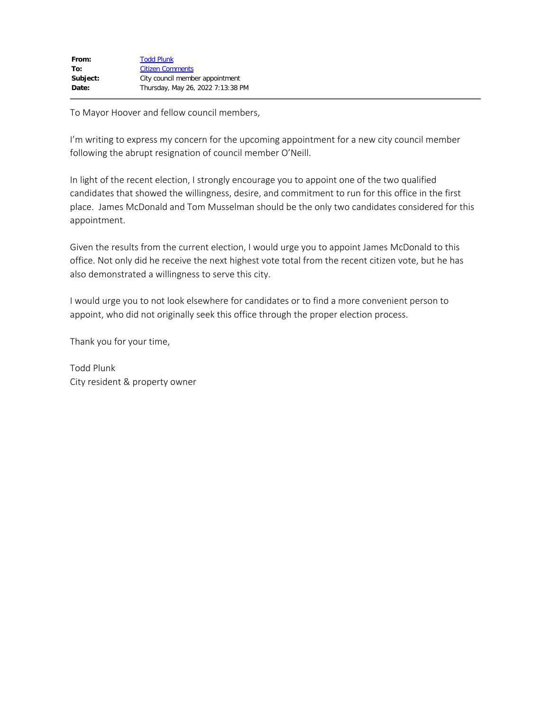| Thursday, May 26, 2022 7:13:38 PM |
|-----------------------------------|
|                                   |

To Mayor Hoover and fellow council members,

I'm writing to express my concern for the upcoming appointment for a new city council member following the abrupt resignation of council member O'Neill.

In light of the recent election, I strongly encourage you to appoint one of the two qualified candidates that showed the willingness, desire, and commitment to run for this office in the first place. James McDonald and Tom Musselman should be the only two candidates considered for this appointment.

Given the results from the current election, I would urge you to appoint James McDonald to this office. Not only did he receive the next highest vote total from the recent citizen vote, but he has also demonstrated a willingness to serve this city.

I would urge you to not look elsewhere for candidates or to find a more convenient person to appoint, who did not originally seek this office through the proper election process.

Thank you for your time,

Todd Plunk City resident & property owner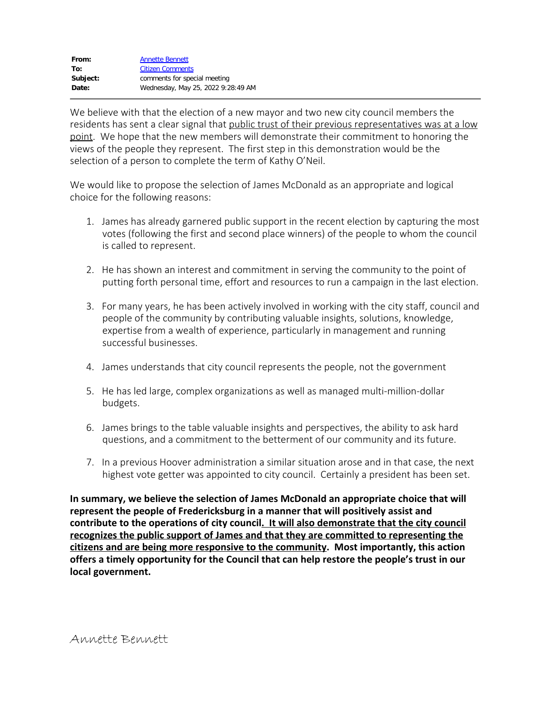We believe with that the election of a new mayor and two new city council members the residents has sent a clear signal that public trust of their previous representatives was at a low point. We hope that the new members will demonstrate their commitment to honoring the views of the people they represent. The first step in this demonstration would be the selection of a person to complete the term of Kathy O'Neil.

We would like to propose the selection of James McDonald as an appropriate and logical choice for the following reasons:

- 1. James has already garnered public support in the recent election by capturing the most votes (following the first and second place winners) of the people to whom the council is called to represent.
- 2. He has shown an interest and commitment in serving the community to the point of putting forth personal time, effort and resources to run a campaign in the last election.
- 3. For many years, he has been actively involved in working with the city staff, council and people of the community by contributing valuable insights, solutions, knowledge, expertise from a wealth of experience, particularly in management and running successful businesses.
- 4. James understands that city council represents the people, not the government
- 5. He has led large, complex organizations as well as managed multi-million-dollar budgets.
- 6. James brings to the table valuable insights and perspectives, the ability to ask hard questions, and a commitment to the betterment of our community and its future.
- 7. In a previous Hoover administration a similar situation arose and in that case, the next highest vote getter was appointed to city council. Certainly a president has been set.

**In summary, we believe the selection of James McDonald an appropriate choice that will represent the people of Fredericksburg in a manner that will positively assist and contribute to the operations of city council. It will also demonstrate that the city council recognizes the public support of James and that they are committed to representing the citizens and are being more responsive to the community. Most importantly, this action offers a timely opportunity for the Council that can help restore the people's trust in our local government.**

Annette Bennett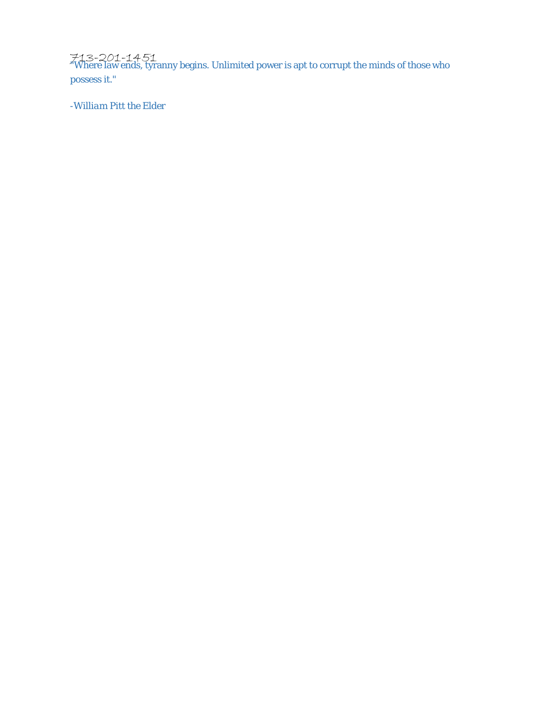713-201-1451 "Where law ends, tyranny begins. Unlimited power is apt to corrupt the minds of those who possess it."

*-William Pitt the Elder*